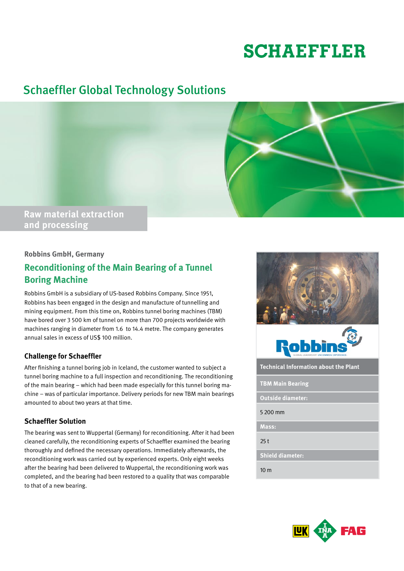# **SCHAEFFLER**

## Schaeffler Global Technology Solutions



#### **Robbins GmbH, Germany**

### **Reconditioning of the Main Bearing of a Tunnel Boring Machine**

Robbins GmbH is a subsidiary of US-based Robbins Company. Since 1951, Robbins has been engaged in the design and manufacture of tunnelling and mining equipment. From this time on, Robbins tunnel boring machines (TBM) have bored over 3 500 km of tunnel on more than 700 projects worldwide with machines ranging in diameter from 1.6 to 14.4 metre. The company generates annual sales in excess of US\$ 100 million.

#### **Challenge for Schaeffler**

After finishing a tunnel boring job in Iceland, the customer wanted to subject a tunnel boring machine to a full inspection and reconditioning. The reconditioning of the main bearing – which had been made especially for this tunnel boring machine – was of particular importance. Delivery periods for new TBM main bearings amounted to about two years at that time.

#### **Schaeffler Solution**

The bearing was sent to Wuppertal (Germany) for reconditioning. After it had been cleaned carefully, the reconditioning experts of Schaeffler examined the bearing thoroughly and defined the necessary operations. Immediately afterwards, the reconditioning work was carried out by experienced experts. Only eight weeks after the bearing had been delivered to Wuppertal, the reconditioning work was completed, and the bearing had been restored to a quality that was comparable to that of a new bearing.